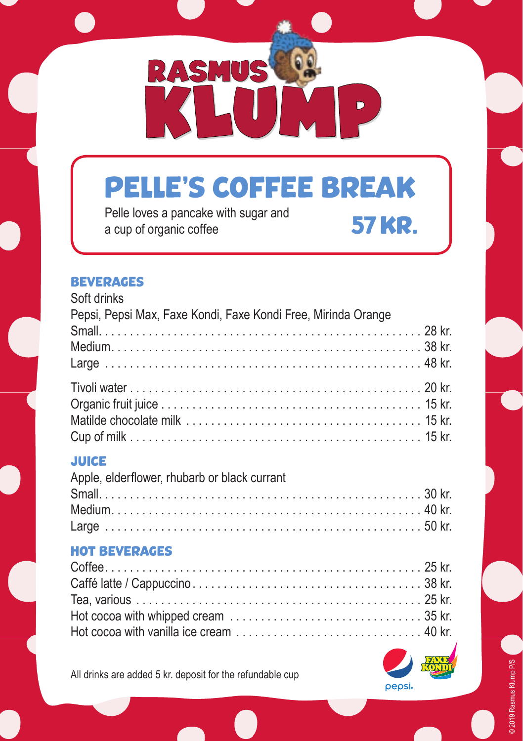

# PELLE'S COFFEE BREAK

Pelle loves a pancake with sugar and Pelle loves a paricake with sugar and **57 KR.** 

#### BEVERAGES

| Soft drinks                                                   |  |
|---------------------------------------------------------------|--|
| Pepsi, Pepsi Max, Faxe Kondi, Faxe Kondi Free, Mirinda Orange |  |
|                                                               |  |
|                                                               |  |
|                                                               |  |
|                                                               |  |
|                                                               |  |
|                                                               |  |
|                                                               |  |

### **JUICE**

| Apple, elderflower, rhubarb or black currant |  |
|----------------------------------------------|--|
|                                              |  |
|                                              |  |
|                                              |  |

### HOT BEVERAGES

All drinks are added 5 kr. deposit for the refundable cup